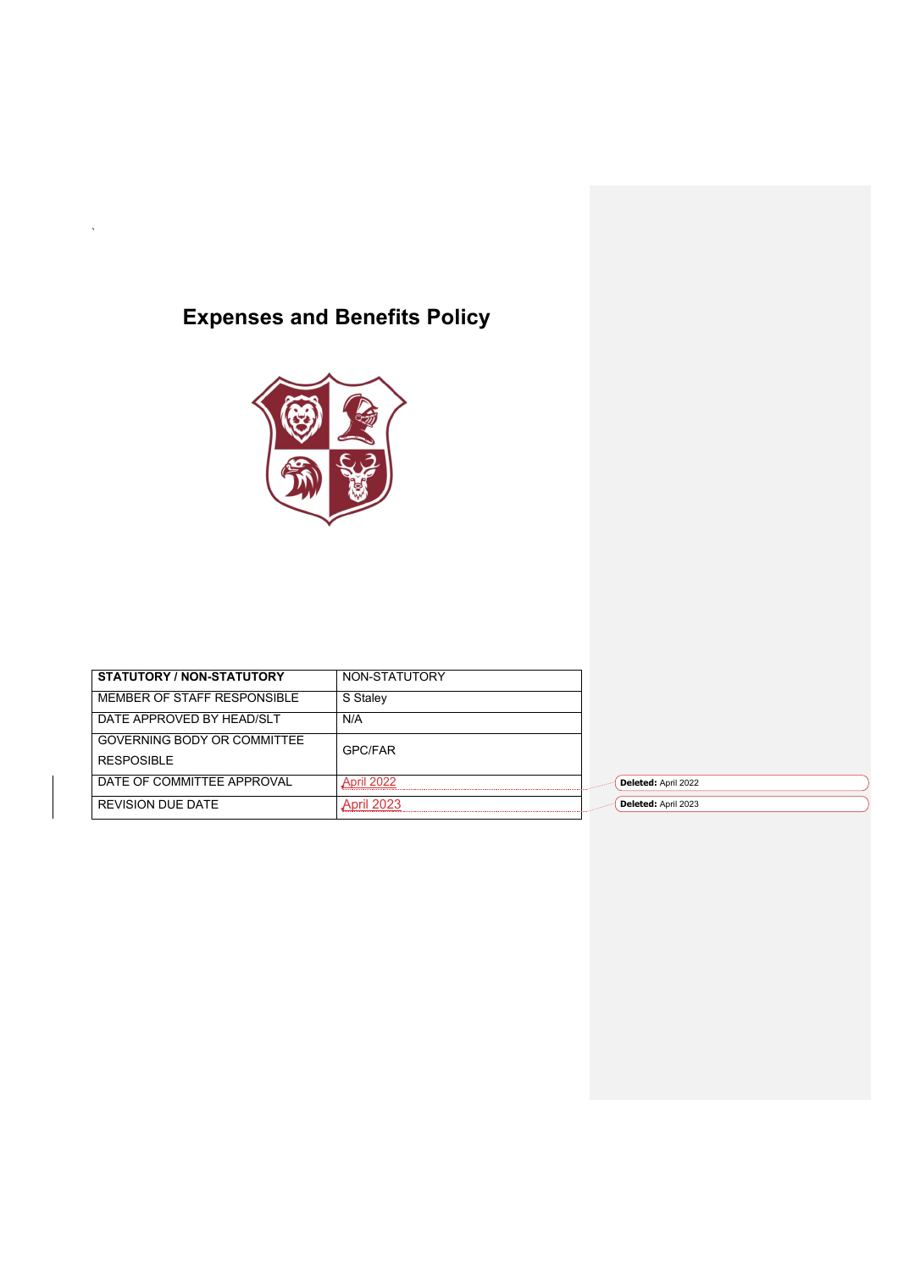# **Expenses and Benefits Policy**

`



| STATUTORY / NON-STATUTORY   | NON-STATUTORY     |                     |
|-----------------------------|-------------------|---------------------|
| MEMBER OF STAFF RESPONSIBLE | S Staley          |                     |
| DATE APPROVED BY HEAD/SLT   | N/A               |                     |
| GOVERNING BODY OR COMMITTEE | <b>GPC/FAR</b>    |                     |
| <b>RESPOSIBLE</b>           |                   |                     |
| DATE OF COMMITTEE APPROVAL  | April 2022        | Deleted: April 2022 |
| <b>REVISION DUE DATE</b>    | <b>April 2023</b> | Deleted: April 2023 |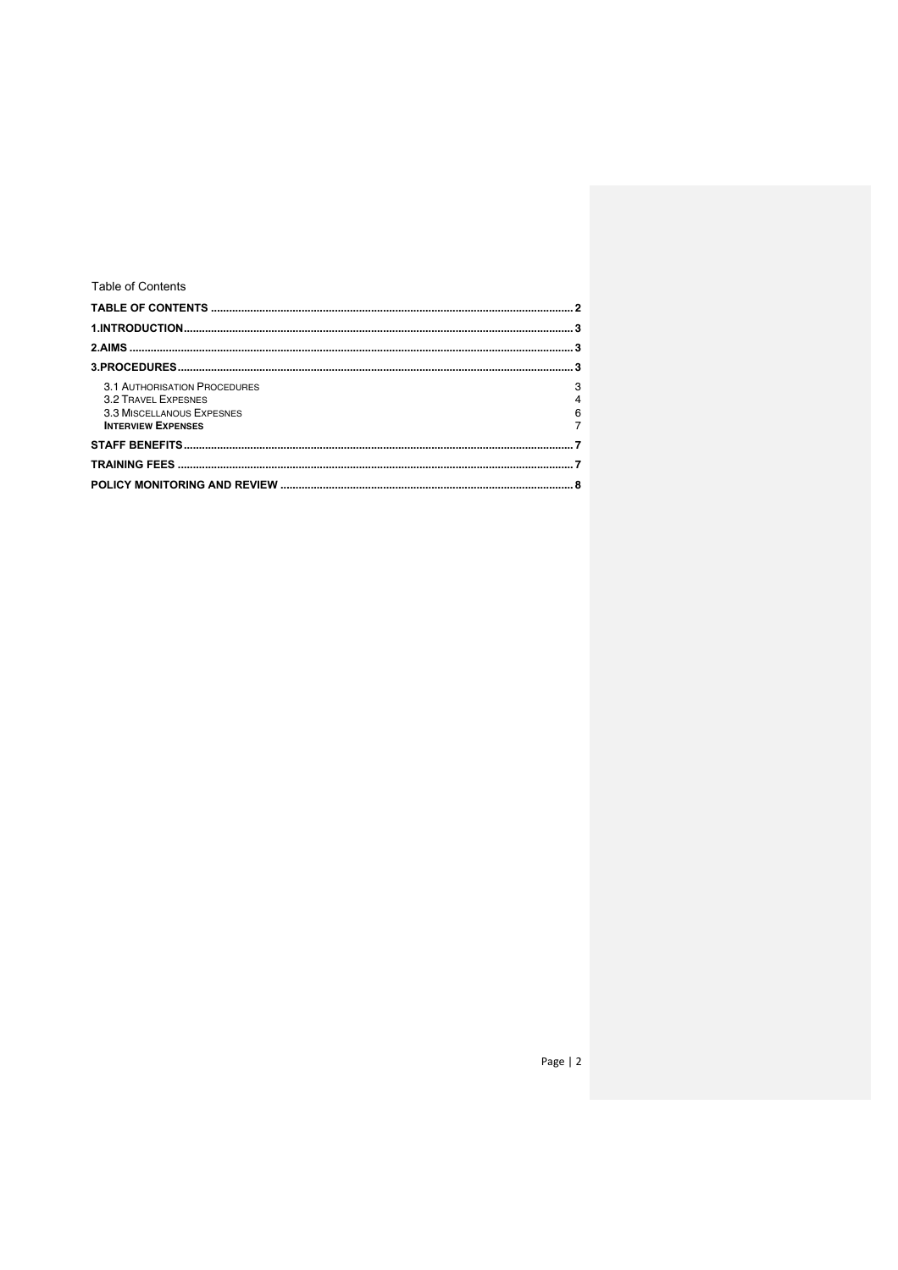# Table of Contents

| <b>3.1 AUTHORISATION PROCEDURES</b><br><b>3.2 TRAVEL EXPESNES</b><br>3.3 MISCELLANOUS EXPESNES<br><b>INTERVIEW EXPENSES</b> | 3<br>$\overline{4}$<br>6 |
|-----------------------------------------------------------------------------------------------------------------------------|--------------------------|
|                                                                                                                             |                          |
|                                                                                                                             |                          |
|                                                                                                                             |                          |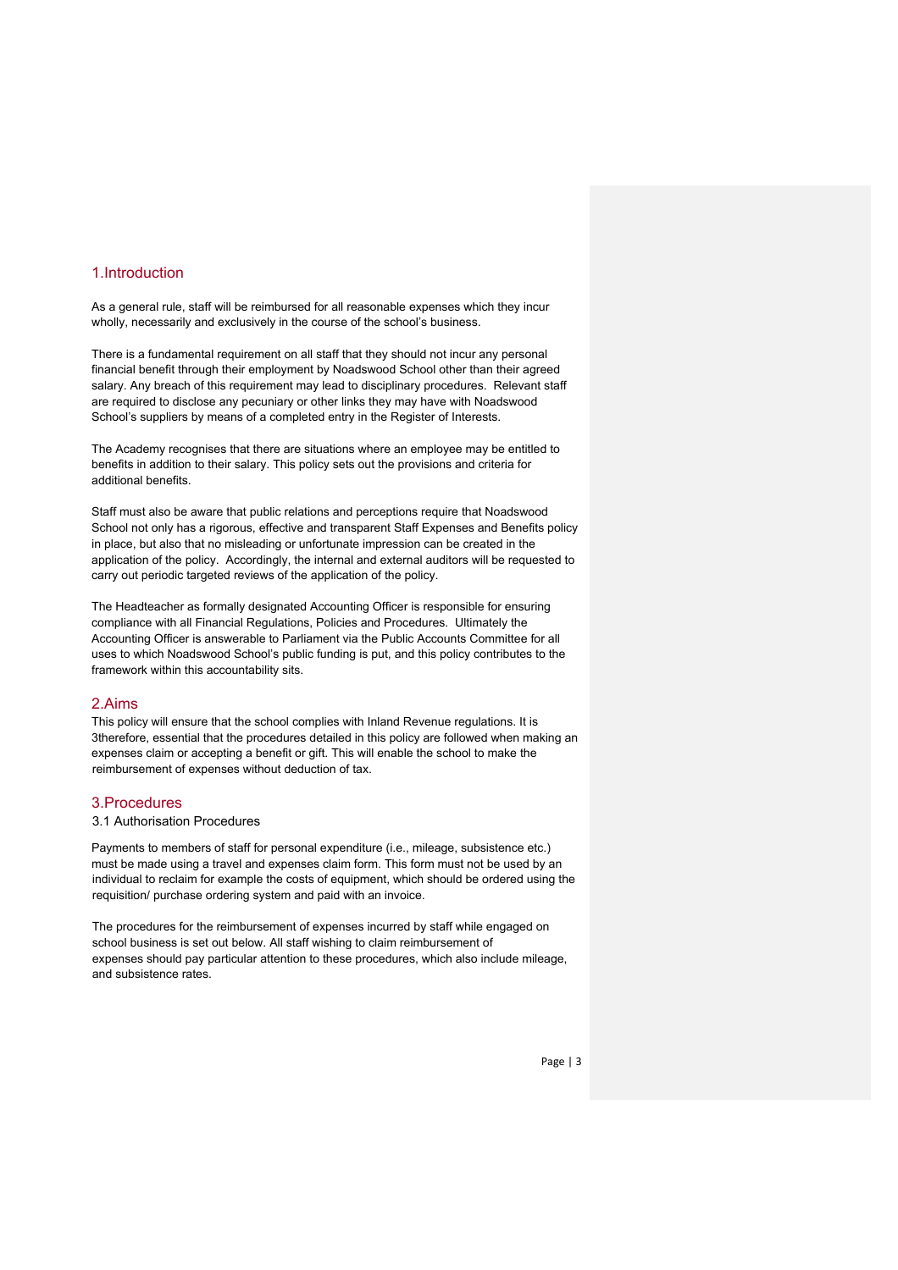# 1.Introduction

As a general rule, staff will be reimbursed for all reasonable expenses which they incur wholly, necessarily and exclusively in the course of the school's business.

There is a fundamental requirement on all staff that they should not incur any personal financial benefit through their employment by Noadswood School other than their agreed salary. Any breach of this requirement may lead to disciplinary procedures. Relevant staff are required to disclose any pecuniary or other links they may have with Noadswood School's suppliers by means of a completed entry in the Register of Interests.

The Academy recognises that there are situations where an employee may be entitled to benefits in addition to their salary. This policy sets out the provisions and criteria for additional benefits.

Staff must also be aware that public relations and perceptions require that Noadswood School not only has a rigorous, effective and transparent Staff Expenses and Benefits policy in place, but also that no misleading or unfortunate impression can be created in the application of the policy. Accordingly, the internal and external auditors will be requested to carry out periodic targeted reviews of the application of the policy.

The Headteacher as formally designated Accounting Officer is responsible for ensuring compliance with all Financial Regulations, Policies and Procedures. Ultimately the Accounting Officer is answerable to Parliament via the Public Accounts Committee for all uses to which Noadswood School's public funding is put, and this policy contributes to the framework within this accountability sits.

#### 2.Aims

This policy will ensure that the school complies with Inland Revenue regulations. It is 3therefore, essential that the procedures detailed in this policy are followed when making an expenses claim or accepting a benefit or gift. This will enable the school to make the reimbursement of expenses without deduction of tax.

#### 3.Procedures

### 3.1 Authorisation Procedures

Payments to members of staff for personal expenditure (i.e., mileage, subsistence etc.) must be made using a travel and expenses claim form. This form must not be used by an individual to reclaim for example the costs of equipment, which should be ordered using the requisition/ purchase ordering system and paid with an invoice.

The procedures for the reimbursement of expenses incurred by staff while engaged on school business is set out below. All staff wishing to claim reimbursement of expenses should pay particular attention to these procedures, which also include mileage, and subsistence rates.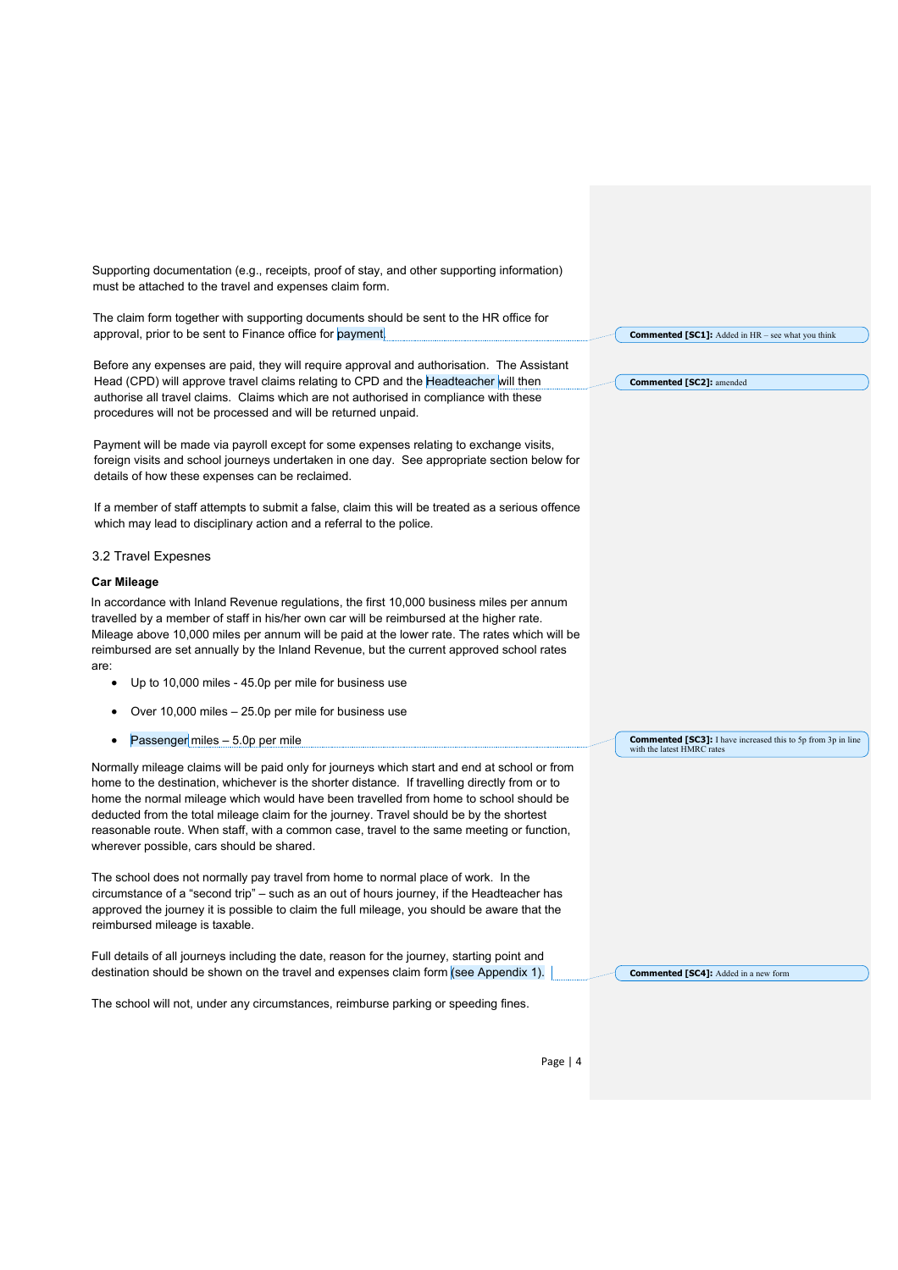| Supporting documentation (e.g., receipts, proof of stay, and other supporting information)<br>must be attached to the travel and expenses claim form.                                                                                                                                                                                                                                                                                                                                                                       |                                                                                                   |
|-----------------------------------------------------------------------------------------------------------------------------------------------------------------------------------------------------------------------------------------------------------------------------------------------------------------------------------------------------------------------------------------------------------------------------------------------------------------------------------------------------------------------------|---------------------------------------------------------------------------------------------------|
| The claim form together with supporting documents should be sent to the HR office for<br>approval, prior to be sent to Finance office for payment.                                                                                                                                                                                                                                                                                                                                                                          | <b>Commented [SC1]:</b> Added in HR - see what you think                                          |
| Before any expenses are paid, they will require approval and authorisation. The Assistant<br>Head (CPD) will approve travel claims relating to CPD and the Headteacher will then<br>authorise all travel claims. Claims which are not authorised in compliance with these<br>procedures will not be processed and will be returned unpaid.                                                                                                                                                                                  | <b>Commented [SC2]:</b> amended                                                                   |
| Payment will be made via payroll except for some expenses relating to exchange visits,<br>foreign visits and school journeys undertaken in one day. See appropriate section below for<br>details of how these expenses can be reclaimed.                                                                                                                                                                                                                                                                                    |                                                                                                   |
| If a member of staff attempts to submit a false, claim this will be treated as a serious offence<br>which may lead to disciplinary action and a referral to the police.                                                                                                                                                                                                                                                                                                                                                     |                                                                                                   |
| 3.2 Travel Expesnes                                                                                                                                                                                                                                                                                                                                                                                                                                                                                                         |                                                                                                   |
| <b>Car Mileage</b>                                                                                                                                                                                                                                                                                                                                                                                                                                                                                                          |                                                                                                   |
| In accordance with Inland Revenue regulations, the first 10,000 business miles per annum<br>travelled by a member of staff in his/her own car will be reimbursed at the higher rate.<br>Mileage above 10,000 miles per annum will be paid at the lower rate. The rates which will be<br>reimbursed are set annually by the Inland Revenue, but the current approved school rates<br>are:                                                                                                                                    |                                                                                                   |
| Up to 10,000 miles - 45.0p per mile for business use<br>٠                                                                                                                                                                                                                                                                                                                                                                                                                                                                   |                                                                                                   |
| Over 10,000 miles - 25.0p per mile for business use<br>٠                                                                                                                                                                                                                                                                                                                                                                                                                                                                    |                                                                                                   |
| Passenger miles - 5.0p per mile                                                                                                                                                                                                                                                                                                                                                                                                                                                                                             | <b>Commented [SC3]:</b> I have increased this to 5p from 3p in line<br>with the latest HMRC rates |
| Normally mileage claims will be paid only for journeys which start and end at school or from<br>home to the destination, whichever is the shorter distance. If travelling directly from or to<br>home the normal mileage which would have been travelled from home to school should be<br>deducted from the total mileage claim for the journey. Travel should be by the shortest<br>reasonable route. When staff, with a common case, travel to the same meeting or function,<br>wherever possible, cars should be shared. |                                                                                                   |
| The school does not normally pay travel from home to normal place of work. In the<br>circumstance of a "second trip" – such as an out of hours journey, if the Headteacher has<br>approved the journey it is possible to claim the full mileage, you should be aware that the<br>reimbursed mileage is taxable.                                                                                                                                                                                                             |                                                                                                   |
| Full details of all journeys including the date, reason for the journey, starting point and                                                                                                                                                                                                                                                                                                                                                                                                                                 |                                                                                                   |
| destination should be shown on the travel and expenses claim form (see Appendix 1).                                                                                                                                                                                                                                                                                                                                                                                                                                         | <b>Commented [SC4]:</b> Added in a new form                                                       |
| The school will not, under any circumstances, reimburse parking or speeding fines.                                                                                                                                                                                                                                                                                                                                                                                                                                          |                                                                                                   |
|                                                                                                                                                                                                                                                                                                                                                                                                                                                                                                                             |                                                                                                   |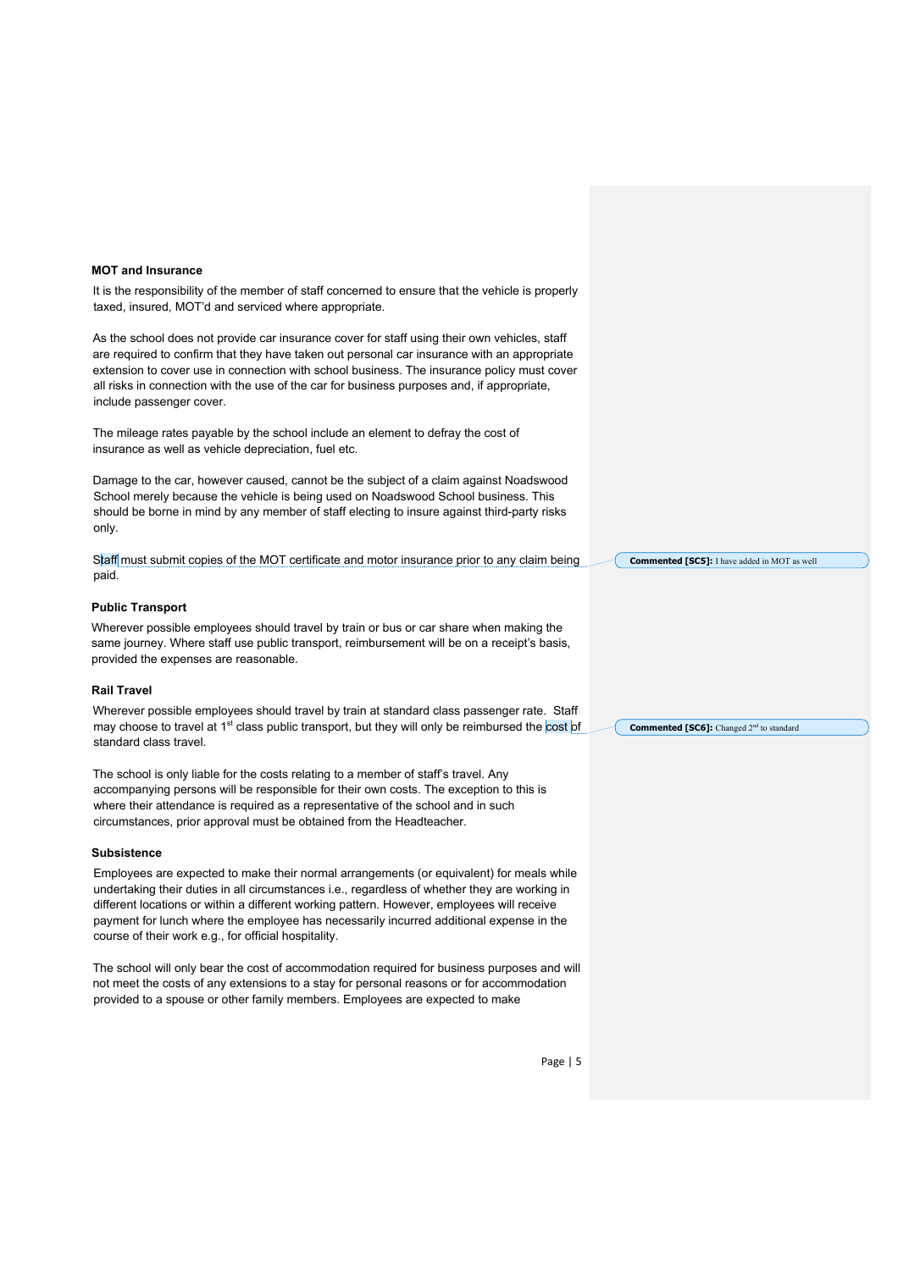#### **MOT and Insurance**

It is the responsibility of the member of staff concerned to ensure that the vehicle is properly taxed, insured, MOT'd and serviced where appropriate.

As the school does not provide car insurance cover for staff using their own vehicles, staff are required to confirm that they have taken out personal car insurance with an appropriate extension to cover use in connection with school business. The insurance policy must cover all risks in connection with the use of the car for business purposes and, if appropriate, include passenger cover.

The mileage rates payable by the school include an element to defray the cost of insurance as well as vehicle depreciation, fuel etc.

Damage to the car, however caused, cannot be the subject of a claim against Noadswood School merely because the vehicle is being used on Noadswood School business. This should be borne in mind by any member of staff electing to insure against third-party risks only.

Staff must submit copies of the MOT certificate and motor insurance prior to any claim being paid.

#### **Public Transport**

Wherever possible employees should travel by train or bus or car share when making the same journey. Where staff use public transport, reimbursement will be on a receipt's basis, provided the expenses are reasonable.

#### **Rail Travel**

Wherever possible employees should travel by train at standard class passenger rate. Staff may choose to travel at  $1<sup>st</sup>$  class public transport, but they will only be reimbursed the cost of standard class travel.

The school is only liable for the costs relating to a member of staff's travel. Any accompanying persons will be responsible for their own costs. The exception to this is where their attendance is required as a representative of the school and in such circumstances, prior approval must be obtained from the Headteacher.

#### **Subsistence**

Employees are expected to make their normal arrangements (or equivalent) for meals while undertaking their duties in all circumstances i.e., regardless of whether they are working in different locations or within a different working pattern. However, employees will receive payment for lunch where the employee has necessarily incurred additional expense in the course of their work e.g., for official hospitality.

The school will only bear the cost of accommodation required for business purposes and will not meet the costs of any extensions to a stay for personal reasons or for accommodation provided to a spouse or other family members. Employees are expected to make

**Commented [SC5]:** I have added in MOT as well

**Commented [SC6]:** Changed 2<sup>nd</sup> to standard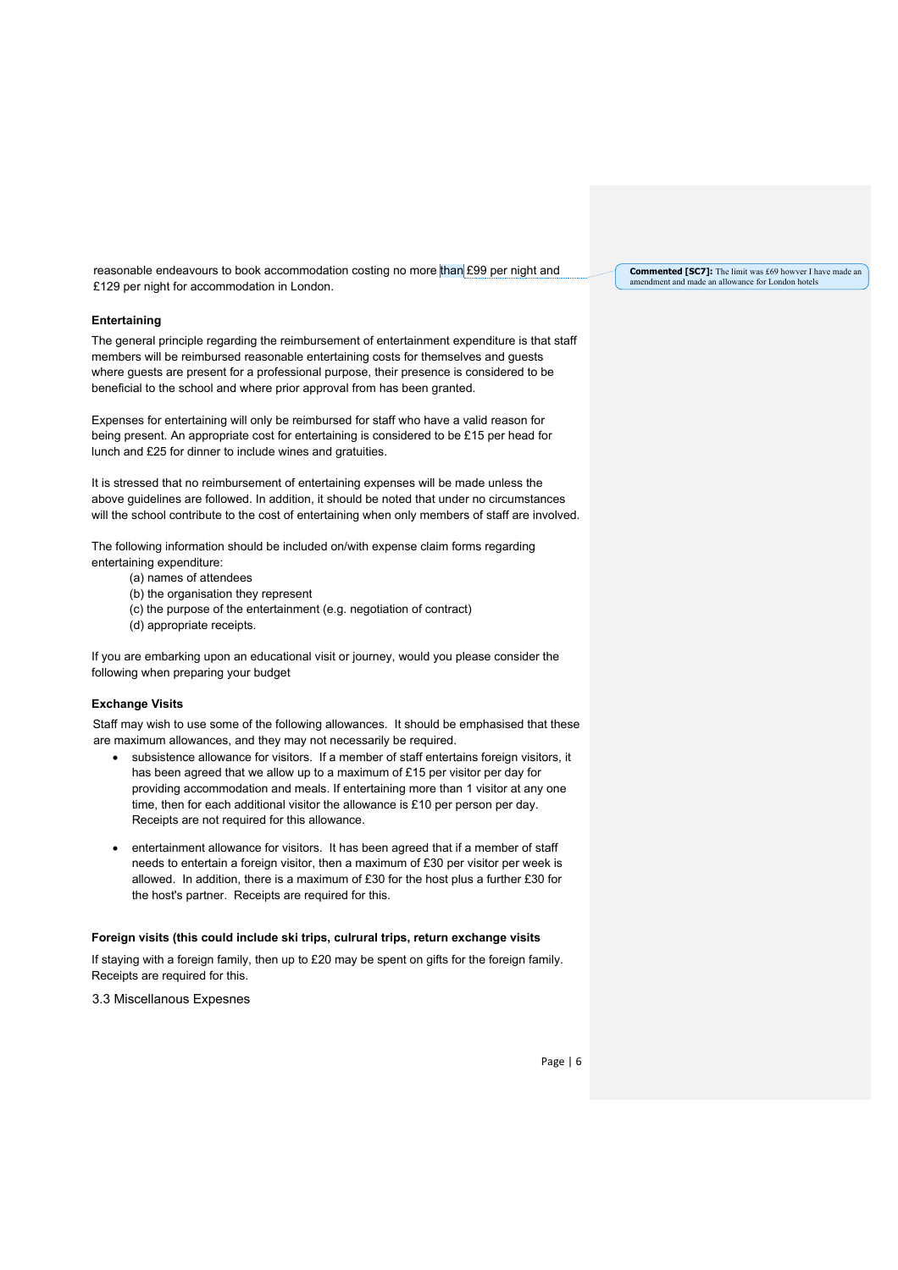reasonable endeavours to book accommodation costing no more than £99 per night and £129 per night for accommodation in London.

#### **Entertaining**

The general principle regarding the reimbursement of entertainment expenditure is that staff members will be reimbursed reasonable entertaining costs for themselves and guests where guests are present for a professional purpose, their presence is considered to be beneficial to the school and where prior approval from has been granted.

Expenses for entertaining will only be reimbursed for staff who have a valid reason for being present. An appropriate cost for entertaining is considered to be £15 per head for lunch and £25 for dinner to include wines and gratuities.

It is stressed that no reimbursement of entertaining expenses will be made unless the above guidelines are followed. In addition, it should be noted that under no circumstances will the school contribute to the cost of entertaining when only members of staff are involved.

The following information should be included on/with expense claim forms regarding entertaining expenditure:

- (a) names of attendees
- (b) the organisation they represent
- (c) the purpose of the entertainment (e.g. negotiation of contract)
- (d) appropriate receipts.

If you are embarking upon an educational visit or journey, would you please consider the following when preparing your budget

#### **Exchange Visits**

Staff may wish to use some of the following allowances. It should be emphasised that these are maximum allowances, and they may not necessarily be required.

- subsistence allowance for visitors. If a member of staff entertains foreign visitors, it has been agreed that we allow up to a maximum of £15 per visitor per day for providing accommodation and meals. If entertaining more than 1 visitor at any one time, then for each additional visitor the allowance is £10 per person per day. Receipts are not required for this allowance.
- entertainment allowance for visitors. It has been agreed that if a member of staff needs to entertain a foreign visitor, then a maximum of £30 per visitor per week is allowed. In addition, there is a maximum of £30 for the host plus a further £30 for the host's partner. Receipts are required for this.

#### **Foreign visits (this could include ski trips, culrural trips, return exchange visits**

If staying with a foreign family, then up to £20 may be spent on gifts for the foreign family. Receipts are required for this.

3.3 Miscellanous Expesnes

**Commented [SC7]:** The limit was £69 howver I have made an amendment and made an allowance for London hotels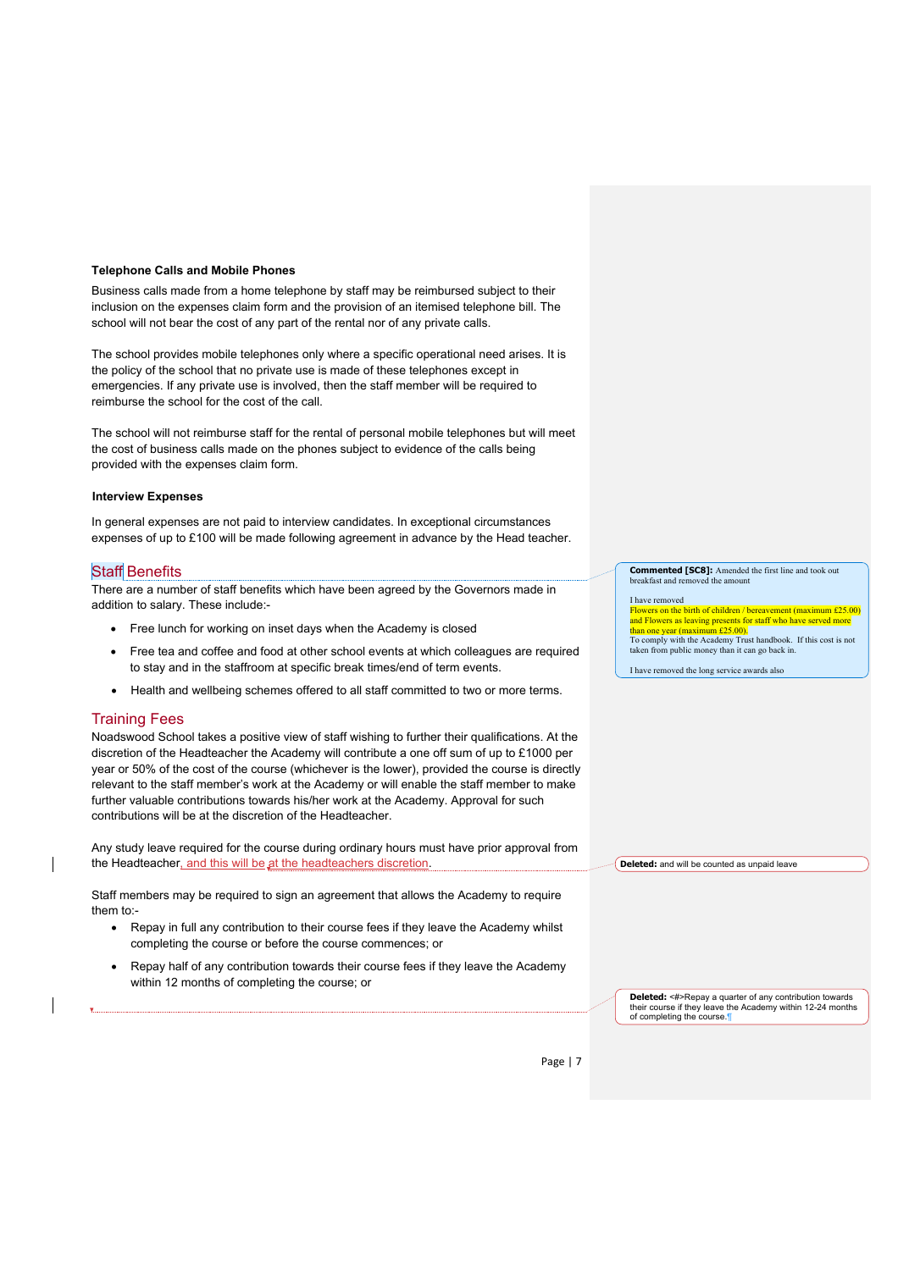#### **Telephone Calls and Mobile Phones**

Business calls made from a home telephone by staff may be reimbursed subject to their inclusion on the expenses claim form and the provision of an itemised telephone bill. The school will not bear the cost of any part of the rental nor of any private calls.

The school provides mobile telephones only where a specific operational need arises. It is the policy of the school that no private use is made of these telephones except in emergencies. If any private use is involved, then the staff member will be required to reimburse the school for the cost of the call.

The school will not reimburse staff for the rental of personal mobile telephones but will meet the cost of business calls made on the phones subject to evidence of the calls being provided with the expenses claim form.

#### **Interview Expenses**

In general expenses are not paid to interview candidates. In exceptional circumstances expenses of up to £100 will be made following agreement in advance by the Head teacher.

#### **Staff Benefits**

There are a number of staff benefits which have been agreed by the Governors made in addition to salary. These include:-

- Free lunch for working on inset days when the Academy is closed
- Free tea and coffee and food at other school events at which colleagues are required to stay and in the staffroom at specific break times/end of term events.
- Health and wellbeing schemes offered to all staff committed to two or more terms.

## Training Fees

Noadswood School takes a positive view of staff wishing to further their qualifications. At the discretion of the Headteacher the Academy will contribute a one off sum of up to £1000 per year or 50% of the cost of the course (whichever is the lower), provided the course is directly relevant to the staff member's work at the Academy or will enable the staff member to make further valuable contributions towards his/her work at the Academy. Approval for such contributions will be at the discretion of the Headteacher.

Any study leave required for the course during ordinary hours must have prior approval from the Headteacher, and this will be at the headteachers discretion.

Staff members may be required to sign an agreement that allows the Academy to require them to:-

- Repay in full any contribution to their course fees if they leave the Academy whilst completing the course or before the course commences; or
- Repay half of any contribution towards their course fees if they leave the Academy within 12 months of completing the course; or

**Commented [SC8]:** Amended the first line and took out breakfast and

I have removed<br><mark>Flowers on the birth of children / bereavement (maximum £25.00)</mark> and Flowers as leaving presents for staff who have served more<br>than one year (maximum  $f(25.00)$ ) t<mark>han one year (maximum £25.00).</mark><br>To comply with the Academy Trust handbook. If this cost is not taken from public money than it can go back in.

I have removed the long service awards also

**Deleted:** and will be counted as unpaid leave

**Deleted:** <#>Repay a quarter of any contribution towards heir course if they leave the Academy within 12-24 months of completing the course.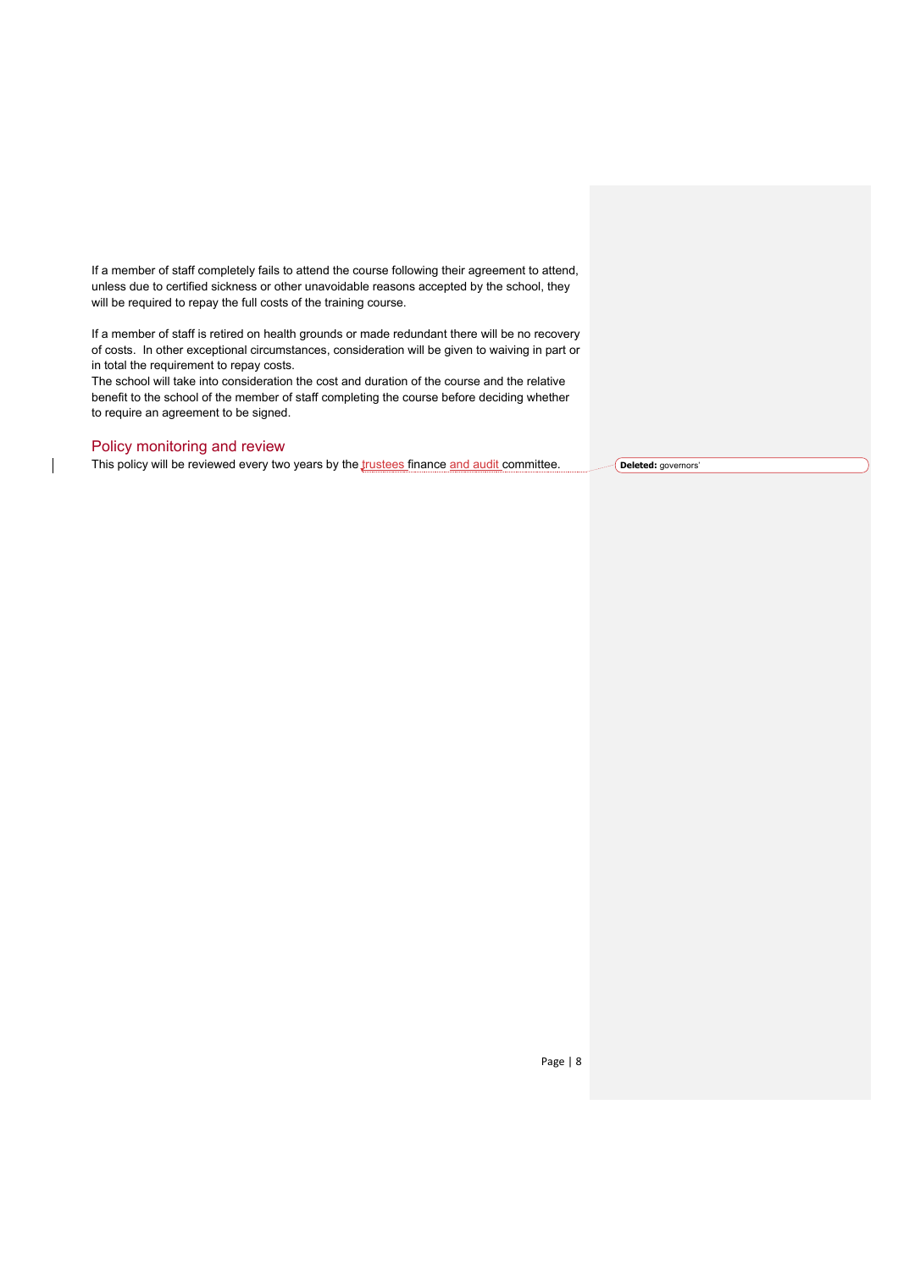If a member of staff completely fails to attend the course following their agreement to attend, unless due to certified sickness or other unavoidable reasons accepted by the school, they will be required to repay the full costs of the training course.

If a member of staff is retired on health grounds or made redundant there will be no recovery of costs. In other exceptional circumstances, consideration will be given to waiving in part or in total the requirement to repay costs.

The school will take into consideration the cost and duration of the course and the relative benefit to the school of the member of staff completing the course before deciding whether to require an agreement to be signed.

### Policy monitoring and review

This policy will be reviewed every two years by the *trustees* finance and audit committee. **Deleted:** governors'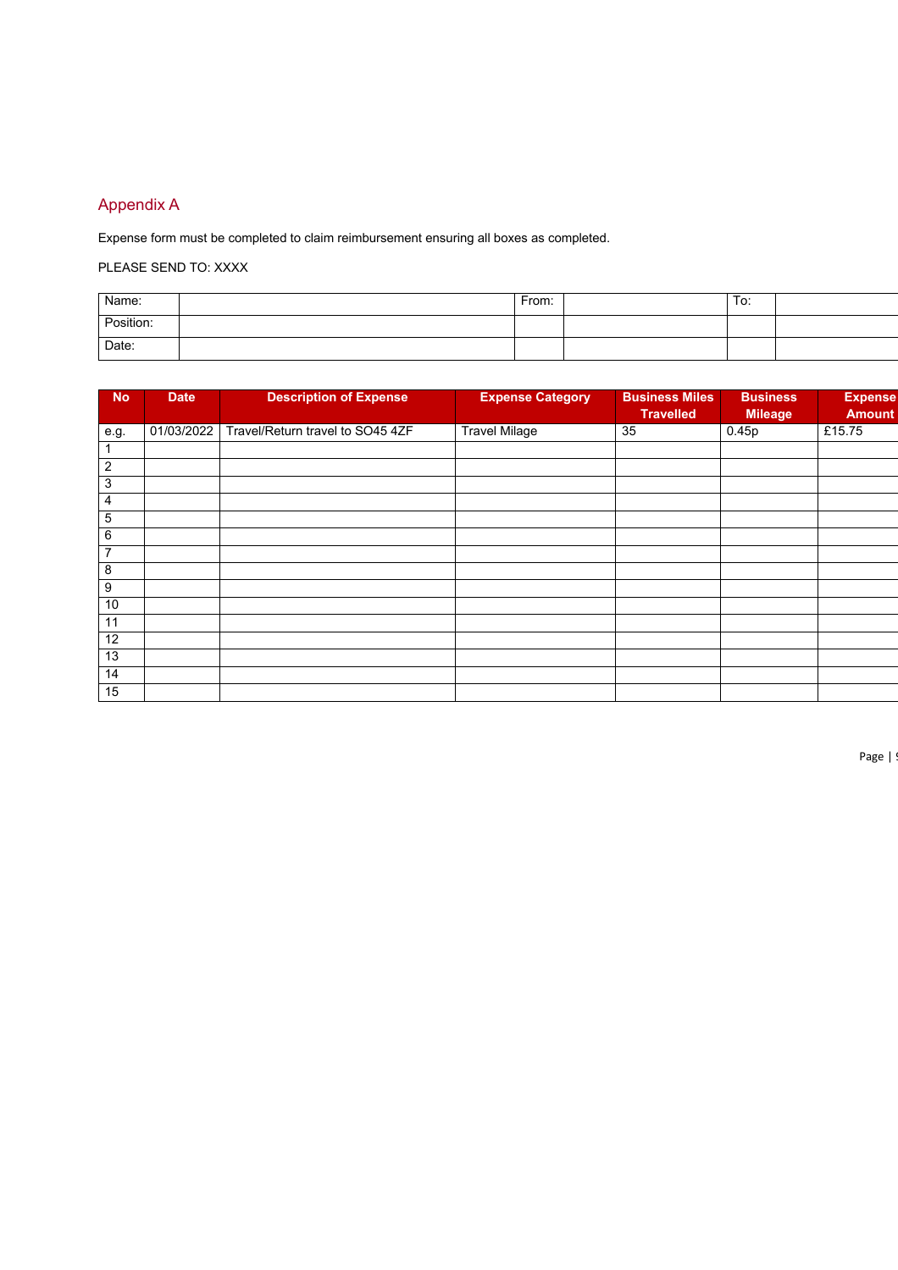# Appendix A

Expense form must be completed to claim reimbursement ensuring all boxes as completed.

PLEASE SEND TO: XXXX

| Name:     | From: | To: |  |
|-----------|-------|-----|--|
| Position: |       |     |  |
| Date:     |       |     |  |

| <b>No</b>      | <b>Date</b> | <b>Description of Expense</b>    | <b>Expense Category</b> | <b>Business Miles</b><br><b>Travelled</b> | <b>Business</b><br><b>Mileage</b> | <b>Expense</b><br><b>Amount</b> |
|----------------|-------------|----------------------------------|-------------------------|-------------------------------------------|-----------------------------------|---------------------------------|
| e.g.           | 01/03/2022  | Travel/Return travel to SO45 4ZF | <b>Travel Milage</b>    | 35                                        | 0.45p                             | £15.75                          |
|                |             |                                  |                         |                                           |                                   |                                 |
| 2              |             |                                  |                         |                                           |                                   |                                 |
| 3              |             |                                  |                         |                                           |                                   |                                 |
| 4              |             |                                  |                         |                                           |                                   |                                 |
| 5              |             |                                  |                         |                                           |                                   |                                 |
| 6              |             |                                  |                         |                                           |                                   |                                 |
| $\overline{7}$ |             |                                  |                         |                                           |                                   |                                 |
| 8              |             |                                  |                         |                                           |                                   |                                 |
| 9              |             |                                  |                         |                                           |                                   |                                 |
| 10             |             |                                  |                         |                                           |                                   |                                 |
| 11             |             |                                  |                         |                                           |                                   |                                 |
| 12             |             |                                  |                         |                                           |                                   |                                 |
| 13             |             |                                  |                         |                                           |                                   |                                 |
| 14             |             |                                  |                         |                                           |                                   |                                 |
| 15             |             |                                  |                         |                                           |                                   |                                 |